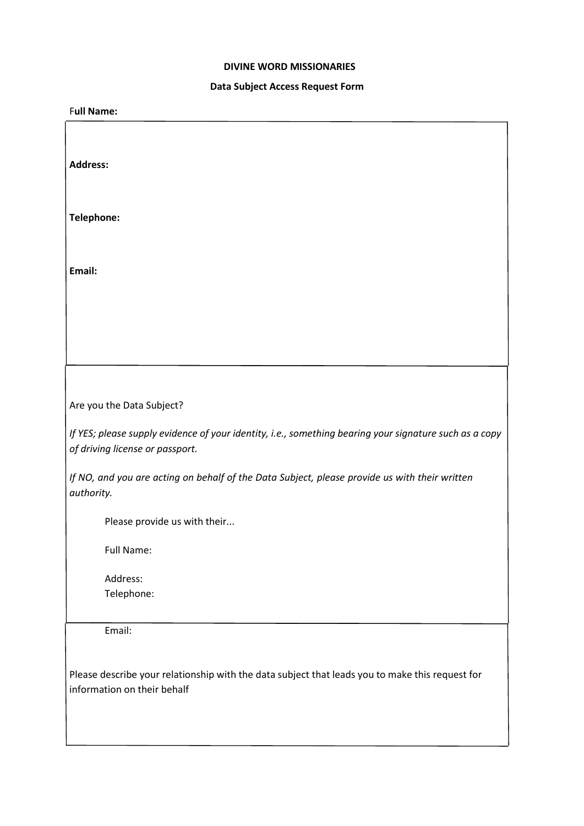## **DIVINE WORD MISSIONARIES**

## **Data Subject Access Request Form**

| -- - --<br>- - - -                                                                                     |
|--------------------------------------------------------------------------------------------------------|
| <b>Full Name:</b>                                                                                      |
|                                                                                                        |
|                                                                                                        |
| <b>Address:</b>                                                                                        |
|                                                                                                        |
|                                                                                                        |
| Telephone:                                                                                             |
|                                                                                                        |
|                                                                                                        |
|                                                                                                        |
| Email:                                                                                                 |
|                                                                                                        |
|                                                                                                        |
|                                                                                                        |
|                                                                                                        |
|                                                                                                        |
|                                                                                                        |
|                                                                                                        |
| Are you the Data Subject?                                                                              |
|                                                                                                        |
| If YES; please supply evidence of your identity, i.e., something bearing your signature such as a copy |
| of driving license or passport.                                                                        |
| If NO, and you are acting on behalf of the Data Subject, please provide us with their written          |
| authority.                                                                                             |
|                                                                                                        |
| Please provide us with their                                                                           |
|                                                                                                        |
| Full Name:                                                                                             |
|                                                                                                        |
| Address:                                                                                               |
| Telephone:                                                                                             |
|                                                                                                        |
| Email:                                                                                                 |
|                                                                                                        |
|                                                                                                        |
| Please describe your relationship with the data subject that leads you to make this request for        |
| information on their behalf                                                                            |
|                                                                                                        |
|                                                                                                        |
|                                                                                                        |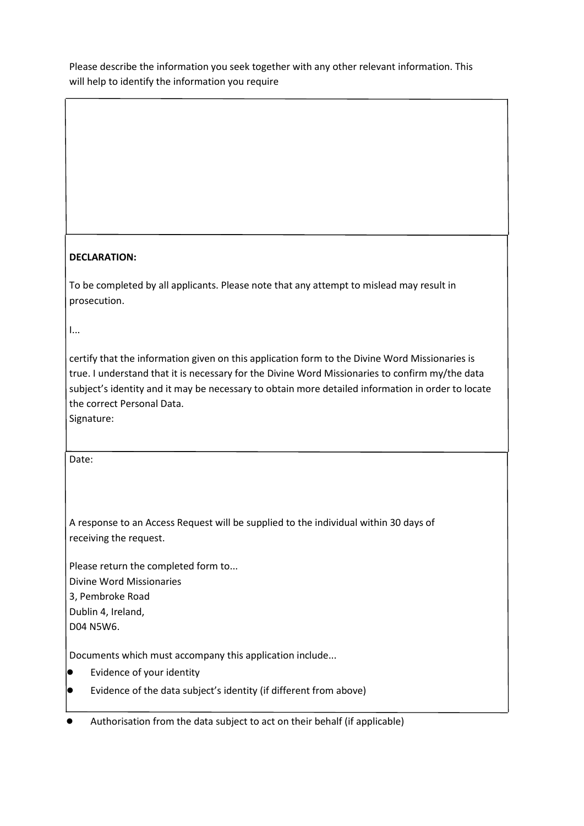Please describe the information you seek together with any other relevant information. This will help to identify the information you require

## **DECLARATION:**

To be completed by all applicants. Please note that any attempt to mislead may result in prosecution.

I...

certify that the information given on this application form to the Divine Word Missionaries is true. I understand that it is necessary for the Divine Word Missionaries to confirm my/the data subject's identity and it may be necessary to obtain more detailed information in order to locate the correct Personal Data.

Signature:

Date:

A response to an Access Request will be supplied to the individual within 30 days of receiving the request.

Please return the completed form to... Divine Word Missionaries 3, Pembroke Road Dublin 4, Ireland, D04 N5W6.

Documents which must accompany this application include...

- Evidence of your identity
- Evidence of the data subject's identity (if different from above)

Authorisation from the data subject to act on their behalf (if applicable)